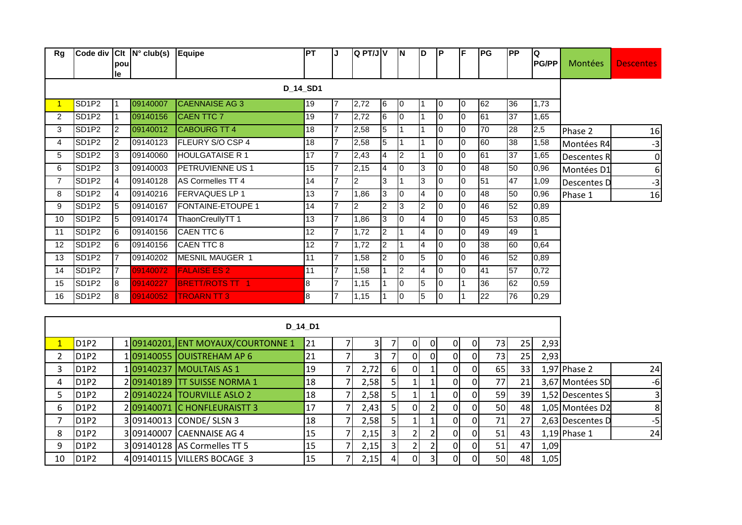| Rg                   |                   | pou<br>le               | Code div Clt   N° club(s) Equipe |                                   | <b>PT</b>       | J              | $Q$ PT/J $V$   |                  | <b>IN</b>      | ID             | ΙP             | lF.            | <b>PG</b> | <b>PP</b> | IQ<br><b>PG/PP</b> | Montées            | <b>Descentes</b> |
|----------------------|-------------------|-------------------------|----------------------------------|-----------------------------------|-----------------|----------------|----------------|------------------|----------------|----------------|----------------|----------------|-----------|-----------|--------------------|--------------------|------------------|
|                      |                   |                         |                                  |                                   | D_14_SD1        |                |                |                  |                |                |                |                |           |           |                    |                    |                  |
| $\blacktriangleleft$ | SD <sub>1P2</sub> | 11                      | 09140007                         | <b>CAENNAISE AG 3</b>             | 19              | $\overline{7}$ | 2,72           | 6                | 0              | 11             | 0              | 10             | 62        | 36        | 1,73               |                    |                  |
| $\overline{2}$       | SD <sub>1P2</sub> |                         | 09140156                         | <b>CAEN TTC 7</b>                 | 19              | $\overline{7}$ | 2,72           | 6                | l0             | I1             | 0              | $\overline{0}$ | 61        | 37        | 1,65               |                    |                  |
| 3                    | SD <sub>1P2</sub> | <u> 2</u>               | 09140012                         | <b>CABOURG TT 4</b>               | $\overline{18}$ | $\overline{7}$ | 2,58           | 5                | I1             | I1             | 0              | l0             | 70        | 28        | 2,5                | Phase 2            | 16               |
| 4                    | SD <sub>1P2</sub> | $\overline{2}$          | 09140123                         | FLEURY S/O CSP 4                  | 18              | $\overline{7}$ | 2,58           | 5                | l 1            | $\overline{1}$ | 0              | l0             | 60        | 38        | 1,58               | Montées R4         | $-3$             |
| 5                    | SD <sub>1P2</sub> | 3                       | 09140060                         | <b>HOULGATAISE R1</b>             | $\overline{17}$ | $\overline{7}$ | 2,43           | $\overline{4}$   | $\overline{2}$ | $\overline{1}$ | $\overline{0}$ | $\overline{0}$ | 61        | 37        | 1,65               | <b>Descentes R</b> | $\overline{0}$   |
| 6                    | SD <sub>1P2</sub> | 3                       | 09140003                         | <b>PETRUVIENNE US 1</b>           | 15              | $\overline{7}$ | 2,15           | 4                | Iо             | 3              | 0              | $\overline{0}$ | 48        | 50        | 0,96               | Montées D1         | $6 \overline{6}$ |
| $\overline{7}$       | SD <sub>1P2</sub> | 4                       | 09140128                         | AS Cormelles TT 4                 | $\overline{14}$ | $\overline{7}$ | $\overline{c}$ | 3                | $\overline{1}$ | $\overline{3}$ | 0              | 0              | 51        | 47        | 1,09               | Descentes D        | $-3$             |
| 8                    | SD1P2             | $\overline{4}$          | 09140216                         | <b>FERVAQUES LP 1</b>             | 13              | $\overline{7}$ | 1,86           | 3                | I0             | 4              | 0              | l0             | 48        | 50        | 0,96               | Phase 1            | 16               |
| 9                    | SD <sub>1P2</sub> | 5                       | 09140167                         | <b>FONTAINE-ETOUPE 1</b>          | $\overline{14}$ | $\overline{7}$ | $\overline{c}$ | $\overline{2}$   | 3              | $\overline{2}$ | $\overline{0}$ | $\overline{0}$ | 46        | 52        | 0,89               |                    |                  |
| 10                   | SD <sub>1P2</sub> | 5                       | 09140174                         | ThaonCreullyTT 1                  | $\overline{13}$ | $\overline{7}$ | 1,86           | 3                | l0             | $\overline{4}$ | 10             | l0             | 45        | 53        | 0,85               |                    |                  |
| 11                   | SD <sub>1P2</sub> | 6                       | 09140156                         | CAEN TTC 6                        | $\overline{12}$ | $\overline{7}$ | 1,72           | $\overline{2}$   | I1             | $\overline{4}$ | 0              | l0             | 49        | 49        | $\mathbf{1}$       |                    |                  |
| $\overline{12}$      | SD <sub>1P2</sub> | 6                       | 09140156                         | CAEN TTC 8                        | $\overline{12}$ | $\overline{7}$ | 1,72           | $\overline{2}$   | $\overline{1}$ | 4              | 0              | l0             | 38        | 60        | 0,64               |                    |                  |
| 13                   | SD <sub>1P2</sub> | 17                      | 09140202                         | MESNIL MAUGER 1                   | $\overline{11}$ | $\overline{7}$ | 1,58           | $\overline{2}$   | lо             | 5              | 0              | l0             | 46        | 52        | 0,89               |                    |                  |
| 14                   | SD <sub>1P2</sub> |                         | 09140072                         | <b>FALAISE ES 2</b>               | 11              | $\overline{7}$ | 1,58           | 1                | 2              | $\overline{4}$ | 10             | I0             | 41        | 57        | 0,72               |                    |                  |
| 15                   | SD <sub>1P2</sub> | $\overline{\mathsf{B}}$ | 09140227                         | <b>BRETT/ROTS TT 1</b>            | $\overline{8}$  | $\overline{7}$ | 1,15           | $\mathbf{1}$     | lо             | $\overline{5}$ | $\overline{0}$ |                | 36        | 62        | 0,59               |                    |                  |
| 16                   | SD <sub>1P2</sub> | 8                       | 09140052                         | <b>TROARN TT 3</b>                | 8               | $\overline{7}$ | 1,15           | $\mathbf{1}$     | 0              | 5              | 0              |                | 22        | 76        | 0,29               |                    |                  |
|                      |                   |                         |                                  |                                   |                 |                |                |                  |                |                |                |                |           |           |                    |                    |                  |
|                      |                   |                         |                                  |                                   | D_14_D1         |                |                |                  |                |                |                |                |           |           |                    |                    |                  |
| $\mathbf{1}$         | D1P2              |                         |                                  | 109140201, ENT MOYAUX/COURTONNE 1 | 21              |                | $\overline{3}$ | $\overline{7}$   | $\overline{0}$ | $\overline{0}$ | $\overline{0}$ | $\overline{0}$ | 73        | 25        | 2,93               |                    |                  |
| $\overline{2}$       | D1P2              |                         |                                  | 109140055 OUISTREHAM AP 6         | 21              | $\overline{7}$ | $\overline{3}$ | $\overline{7}$   | οl             | $\overline{0}$ | $\Omega$       | 0              | 73        | 25        | 2,93               |                    |                  |
| 3                    | D1P2              |                         |                                  | 109140237 MOULTAIS AS 1           | 19              |                | 2,72           | $\boldsymbol{6}$ | $\overline{0}$ | $\mathbf{1}$   | $\mathbf 0$    | 0              | 65        | 33        |                    | 1,97 Phase 2       | 24               |
| 4                    | D1P2              |                         |                                  | 209140189 TT SUISSE NORMA 1       | 18              |                | 2,58           | 5 <sup>1</sup>   |                | $\mathbf{1}$   | $\mathbf 0$    | 0              | 77        | 21        |                    | 3,67 Montées SD    | $-6$             |
| 5                    | D1P2              |                         |                                  | 2 09140224 TOURVILLE ASLO 2       | 18              |                | 2,58           | 5 <sup>1</sup>   |                | $\mathbf{1}$   | $\overline{0}$ | $\overline{0}$ | 59        | 39        |                    | 1,52 Descentes S   | $\mathsf{3}$     |
| 6                    | D1P2              |                         |                                  | 2 09140071 C HONFLEURAISTT 3      | 17              |                | 2,43           | 5                | $\Omega$       | $\overline{2}$ | 0              | 0              | 50        | 48        |                    | 1,05 Montées D2    | 8                |
| $\overline{7}$       | D1P2              |                         |                                  | 309140013 CONDE/ SLSN 3           | 18              |                | 2,58           | 5 <sup>1</sup>   | $\mathbf{1}$   | $\mathbf 1$    | 0              | $\overline{0}$ | 71        | 27        |                    | 2,63 Descentes D   | $-5$             |

8 D1P2 3 09140007 CAENNAISE AG 4 15 7 2,15 3 2 2 0 0 51 43 1,19 Phase 1 24

9 D1P2 309140128 AS Cormelles TT 5 15 7 2,15 3 2 2 0 0 51 47 1,09 10 D1P2 4 09140115 VILLERS BOCAGE 3 15 7 2,15 4 0 3 0 0 50 48 1,05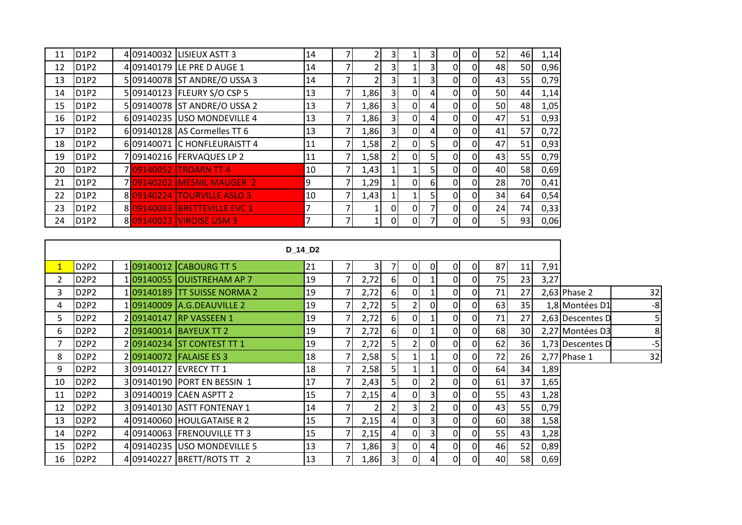| 11 | D1P2                          |  | 4 09140032 LISIEUX ASTT 3    | 14 |      | 31             |                |          | 0        | $\Omega$     | 52             | 46 | 1,14 |
|----|-------------------------------|--|------------------------------|----|------|----------------|----------------|----------|----------|--------------|----------------|----|------|
| 12 | D1P2                          |  | 4 09140179 LE PRE D AUGE 1   | 14 |      | $\overline{3}$ |                |          | 0        | $\Omega$     | 48             | 50 | 0,96 |
| 13 | <b>D1P2</b>                   |  | 5 09140078 ST ANDRE/O USSA 3 | 14 |      | 3I             |                | 3        | $\Omega$ | $\Omega$     | 43             | 55 | 0,79 |
| 14 | D <sub>1P2</sub>              |  | 509140123 FLEURY S/O CSP 5   | 13 | 1,86 | 3 <sup>1</sup> | $\overline{0}$ | 4        | $\Omega$ | $\Omega$     | 50             | 44 | 1,14 |
| 15 | D <sub>1P2</sub>              |  | 5 09140078 ST ANDRE/O USSA 2 | 13 | 1,86 | 3I             | $\Omega$       | 4        | $\Omega$ | $\Omega$     | 50             | 48 | 1,05 |
| 16 | D <sub>1</sub> P <sub>2</sub> |  | 609140235 USO MONDEVILLE 4   | 13 | 1,86 | 3 <sup>l</sup> | $\overline{0}$ | 4        | $\Omega$ | <sup>0</sup> | 47             | 51 | 0,93 |
| 17 | <b>D1P2</b>                   |  | 6 09140128 AS Cormelles TT 6 | 13 | 1,86 | $\overline{3}$ | $\Omega$       | 4        | 0        | $\Omega$     | 41             | 57 | 0,72 |
| 18 | D1P2                          |  | 609140071 C HONFLEURAISTT 4  | 11 | 1,58 | $\overline{2}$ | $\overline{0}$ |          | $\Omega$ | $\Omega$     | 47             | 51 | 0,93 |
| 19 | D1P2                          |  | 709140216 FERVAQUES LP 2     | 11 | 1,58 |                | $\overline{0}$ |          | $\Omega$ | $\Omega$     | 43             | 55 | 0,79 |
| 20 | <b>D1P2</b>                   |  | 709140052 TROARN TT 4        | 10 | 1,43 |                |                |          | 0        | $\Omega$     | 40             | 58 | 0,69 |
| 21 | D <sub>1P2</sub>              |  | 709140202 MESNIL MAUGER 2    | 9  | 1,29 |                | $\overline{0}$ | $6 \mid$ | $\Omega$ | $\Omega$     | 28             | 70 | 0,41 |
| 22 | D <sub>1P2</sub>              |  | 809140224 TOURVILLE ASLO 3   | 10 | 1,43 |                |                |          | $\Omega$ | $\Omega$     | 34             | 64 | 0,54 |
| 23 | D <sub>1P2</sub>              |  | 809140083 BRETTEVILLE EVC 1  | 7  |      | $\overline{0}$ | $\overline{0}$ |          | $\Omega$ | 0            | 24             | 74 | 0,33 |
| 24 | D <sub>1P2</sub>              |  | 8 09140023 VIROISE USM 3     | 7  |      | $\overline{0}$ | <sup>0</sup>   |          | ΩI       | $\Omega$     | 5 <sub>1</sub> | 93 | 0,06 |

|              |                               |  |                             | D <sub>14</sub> D <sub>2</sub> |                |                         |                         |                |                |          |                |    |    |      |                  |    |
|--------------|-------------------------------|--|-----------------------------|--------------------------------|----------------|-------------------------|-------------------------|----------------|----------------|----------|----------------|----|----|------|------------------|----|
| $\mathbf{1}$ | D <sub>2</sub> P <sub>2</sub> |  | 109140012 CABOURG TT 5      | 21                             |                | $\overline{\mathsf{3}}$ |                         | ΟI             | 01             |          | 0I             | 87 | 11 | 7,91 |                  |    |
| 2            | D <sub>2</sub> P <sub>2</sub> |  | 109140055 OUISTREHAM AP 7   | 19                             |                | 2,72                    | 6 I                     | 01             |                | 0        | 01             | 75 | 23 | 3,27 |                  |    |
| 3            | D <sub>2</sub> P <sub>2</sub> |  | 109140189 TT SUISSE NORMA 2 | 19                             |                | 2,72                    | -61                     | ΩI             |                | 0        | 01             | 71 | 27 |      | $2,63$ Phase 2   | 32 |
| 4            | D2P2                          |  | 109140009 A.G.DEAUVILLE 2   | 19                             | ⇁              | 2,72                    | 5 <sub>l</sub>          |                | 0              | $\Omega$ | Οl             | 63 | 35 |      | 1,8 Montées D1   | -8 |
| 5            | D <sub>2</sub> P <sub>2</sub> |  | 209140147 RP VASSEEN 1      | 19                             |                | 2,72                    | 6 <sup>1</sup>          | 0 <sup>l</sup> |                | $\Omega$ | $\overline{0}$ | 71 | 27 |      | 2,63 Descentes D |    |
| 6            | D <sub>2</sub> P <sub>2</sub> |  | 209140014 BAYEUX TT 2       | 19                             | 7              | 2,72                    | 6 <sup>1</sup>          | 0l             |                | 0        | 01             | 68 | 30 |      | 2,27 Montées D3  | 8  |
|              | D <sub>2</sub> P <sub>2</sub> |  | 209140234 ST CONTEST TT 1   | 19                             |                | 2,72                    | 5 <sub>l</sub>          |                | ΩI             | 0        | Οl             | 62 | 36 |      | 1,73 Descentes D | -5 |
| 8            | D <sub>2</sub> P <sub>2</sub> |  | 209140072 FALAISE ES 3      | 18                             |                | 2,58                    | 5 <sup>1</sup>          |                |                | $\Omega$ | $\overline{0}$ | 72 | 26 |      | 2,77 Phase 1     | 32 |
| 9            | D <sub>2</sub> P <sub>2</sub> |  | 309140127 EVRECY TT 1       | 18                             |                | 2,58                    | 5 <sub>l</sub>          |                |                | 0        | ΟI             | 64 | 34 | 1,89 |                  |    |
| 10           | D <sub>2</sub> P <sub>2</sub> |  | 3 09140190 PORT EN BESSIN 1 | 17                             |                | 2,43                    | 5                       | 0I             |                | $\Omega$ | 01             | 61 | 37 | 1,65 |                  |    |
| 11           | D <sub>2</sub> P <sub>2</sub> |  | 309140019 CAEN ASPTT 2      | 15                             |                | 2,15                    | 41                      | 0I             | 3 <sup>l</sup> | 0        | ΟI             | 55 | 43 | 1,28 |                  |    |
| 12           | D <sub>2</sub> P <sub>2</sub> |  | 309140130 ASTT FONTENAY 1   | 14                             | $\overline{7}$ | $\overline{2}$          | $\overline{2}$          |                | 2              | 0        | 01             | 43 | 55 | 0,79 |                  |    |
| 13           | D <sub>2</sub> P <sub>2</sub> |  | 4 09140060 HOULGATAISE R 2  | 15                             |                | 2,15                    | 41                      | 0 <sup>l</sup> | 31             | 0        | 0I             | 60 | 38 | 1,58 |                  |    |
| 14           | D <sub>2</sub> P <sub>2</sub> |  | 4 09140063 FRENOUVILLE TT 3 | 15                             |                | 2,15                    | $\overline{4}$          | 0I             | 31             | 0        | $\overline{0}$ | 55 | 43 | 1,28 |                  |    |
| 15           | D <sub>2</sub> P <sub>2</sub> |  | 4 09140235 USO MONDEVILLE 5 | 13                             |                | 1,86                    | $\overline{\mathsf{3}}$ | 0 <sup>l</sup> | 4              | $\Omega$ | 0I             | 46 | 52 | 0,89 |                  |    |
| 16           | D <sub>2P2</sub>              |  | 409140227 BRETT/ROTS TT 2   | 13                             |                | 1,86                    | $\overline{3}$          | ΟI             |                | 0        | 0I             | 40 | 58 | 0,69 |                  |    |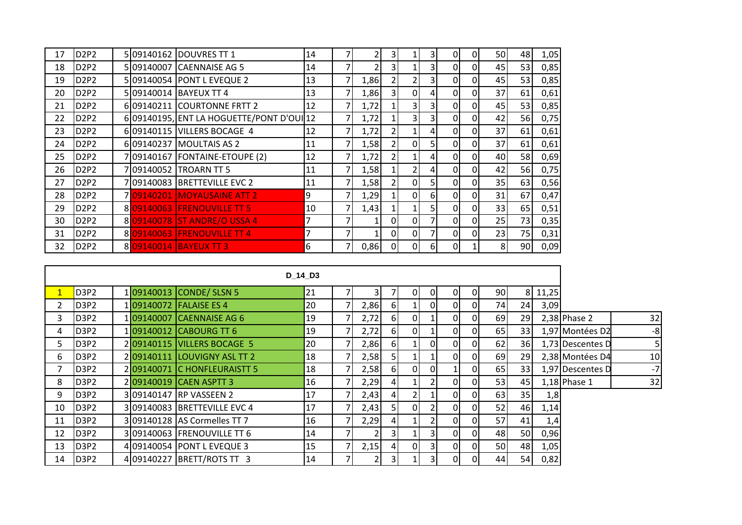| 17 | D <sub>2</sub> P <sub>2</sub> |           | 5 09140162 DOUVRES TT 1                  | 14 |   |      | 3              |                | 3              | 0        | 0 | 50 | 48        | 1,05 |
|----|-------------------------------|-----------|------------------------------------------|----|---|------|----------------|----------------|----------------|----------|---|----|-----------|------|
| 18 | D <sub>2P2</sub>              |           | 5 09140007 CAENNAISE AG 5                | 14 |   | 2    | 3              |                | 3              | 0        | 0 | 45 | 53        | 0,85 |
| 19 | D <sub>2</sub> P <sub>2</sub> |           | 5 09140054 PONT L EVEQUE 2               | 13 | ℸ | 1,86 |                |                | 3              | 0        | 0 | 45 | 53        | 0,85 |
| 20 | D <sub>2P2</sub>              |           | 5109140014 BAYEUX TT 4                   | 13 |   | 1,86 | 31             | $\Omega$       | 4.             | 0        | 0 | 37 | 61        | 0,61 |
| 21 | D2P2                          |           | 609140211 COURTONNE FRTT 2               | 12 | 7 | 1,72 |                | $\overline{3}$ | 3              | 0        | 0 | 45 | 53        | 0,85 |
| 22 | <b>D2P2</b>                   |           | 609140195, ENT LA HOGUETTE/PONT D'OUI 12 |    |   | 1,72 |                | 3 <sub>l</sub> | $\overline{3}$ | 0        | 0 | 42 | 56I       | 0,75 |
| 23 | D <sub>2</sub> P <sub>2</sub> |           | 609140115 VILLERS BOCAGE 4               | 12 |   | 1,72 | 2              | 1              | 4.             | 0        | 0 | 37 | 61        | 0,61 |
| 24 | D2P2                          |           | 6 09140237 MOULTAIS AS 2                 | 11 | 7 | 1,58 | $\overline{2}$ | $\Omega$       | 5              | 0        | 0 | 37 | 61        | 0,61 |
| 25 | <b>D2P2</b>                   |           | 709140167 FONTAINE-ETOUPE (2)            | 12 |   | 1,72 | $\overline{2}$ |                | 41             | $\Omega$ | 0 | 40 | <b>58</b> | 0,69 |
| 26 | D <sub>2P2</sub>              | 709140052 | <b>TROARN TT 5</b>                       | 11 |   | 1,58 |                | 2              | 4              | 0        | 0 | 42 | <b>56</b> | 0,75 |
| 27 | D <sub>2</sub> P <sub>2</sub> |           | 7 09140083 BRETTEVILLE EVC 2             | 11 | ℸ | 1,58 | 2              | 01             | 5              | 0        | 0 | 35 | 63        | 0,56 |
| 28 | <b>D2P2</b>                   |           | 709140201 MOYAUSAINE ATT 2               | 9  |   | 1,29 |                | 0l             | 61             | $\Omega$ | 0 | 31 | 67        | 0,47 |
| 29 | D <sub>2P2</sub>              |           | 809140063 FRENOUVILLE TT 5               | 10 |   | 1,43 |                |                | 51             | $\Omega$ | 0 | 33 | 65I       | 0,51 |
| 30 | D <sub>2</sub> P <sub>2</sub> |           | 8 09140078 ST ANDRE/O USSA 4             | 7  | 7 |      | 0              | $\Omega$       |                | 0        | 0 | 25 | 73        | 0,35 |
| 31 | <b>D2P2</b>                   |           | 809140063 FRENOUVILLE TT 4               | 7  |   |      | $\overline{0}$ | 0l             |                | $\Omega$ | 0 | 23 | 75        | 0,31 |
| 32 | D <sub>2P2</sub>              |           | 8 09140014 BAYEUX TT 3                   | 6  | 7 | 0,86 | 0              | $\Omega$       | 6              | 0        |   | 8  | 90        | 0,09 |

|    |                               |  |                              | D 14 D3 |      |    |    |                |                |                |    |           |       |                  |      |
|----|-------------------------------|--|------------------------------|---------|------|----|----|----------------|----------------|----------------|----|-----------|-------|------------------|------|
|    | D <sub>3</sub> P <sub>2</sub> |  | 109140013 CONDE/ SLSN 5      | 21      | 31   |    | 01 | 0              | 01             | 01             | 90 | 81        | 11,25 |                  |      |
|    | D3P2                          |  | 109140072 FALAISE ES 4       | 20      | 2,86 | 61 |    | 0              | $\overline{0}$ | 01             | 74 | 24        | 3,09  |                  |      |
| 3. | D3P2                          |  | 109140007 CAENNAISE AG 6     | 19      | 2,72 | 61 | 01 | 1              | $\overline{0}$ | 01             | 69 | 29        |       | $2,38$ Phase 2   | 32   |
| 4  | D3P2                          |  | 109140012 CABOURG TT 6       | 19      | 2,72 | 61 | 01 |                | $\overline{0}$ | 01             | 65 | 33        |       | 1,97 Montées D2  | $-8$ |
| 5. | D3P2                          |  | 209140115 VILLERS BOCAGE 5   | 20      | 2,86 | 61 |    | 0              | $\overline{0}$ | $\overline{0}$ | 62 | 36        |       | 1,73 Descentes D |      |
| 6. | D3P2                          |  | 209140111 LOUVIGNY ASL TT 2  | 18      | 2,58 | 51 |    |                | $\overline{0}$ | 01             | 69 | 29        |       | 2,38 Montées D4  | 10   |
|    | D <sub>3</sub> P <sub>2</sub> |  | 209140071 C HONFLEURAISTT 5  | 18      | 2,58 | 61 | 0  | 0              |                | 01             | 65 | 33        |       | 1,97 Descentes D | $-7$ |
| 8  | D <sub>3</sub> P <sub>2</sub> |  | 209140019 CAEN ASPTT 3       | 16      | 2,29 | 41 |    | 2              | 0I             | 01             | 53 | 45        |       | 1,18 Phase 1     | 32   |
| 9  | D3P2                          |  | 3 09140147 RP VASSEEN 2      | 17      | 2,43 | 41 | 2  |                | $\overline{0}$ | Οl             | 63 | 35        | 1,8   |                  |      |
| 10 | D3P2                          |  | 309140083 BRETTEVILLE EVC 4  | 17      | 2,43 | 51 | 01 | 2              | $\overline{0}$ | 01             | 52 | 46        | 1,14  |                  |      |
| 11 | D <sub>3</sub> P <sub>2</sub> |  | 3 09140128 AS Cormelles TT 7 | 16      | 2,29 | 41 |    | $\overline{2}$ | $\overline{0}$ | 01             | 57 | 41        | 1,4   |                  |      |
| 12 | D <sub>3</sub> P <sub>2</sub> |  | 309140063 FRENOUVILLE TT 6   | 14      |      | 31 |    | 3              | $\overline{0}$ | 01             | 48 | <b>50</b> | 0,96  |                  |      |
| 13 | D <sub>3</sub> P <sub>2</sub> |  | 4109140054 PONT L EVEQUE 3   | 15      | 2,15 | 41 | 01 | 3              | 01             | 01             | 50 | 48        | 1,05  |                  |      |
| 14 | D <sub>3</sub> P <sub>2</sub> |  | 4 09140227 BRETT/ROTS TT 3   | 14      | 2    | 31 |    | 3              | 0I             | 01             | 44 | 54        | 0,82  |                  |      |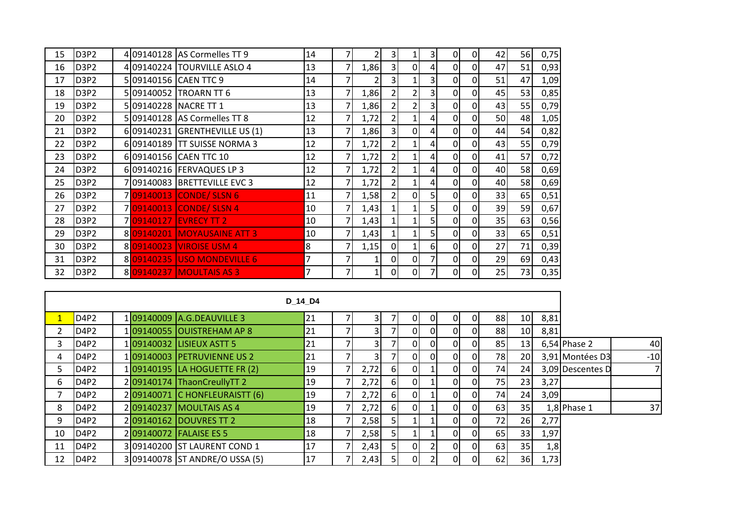| 15 | D3P2                          |            | 4 09140128 AS Cormelles TT 9  | 14             |   |      | 3              |                | 31             | 0              | $\Omega$       | 42 | 56 | 0,75 |
|----|-------------------------------|------------|-------------------------------|----------------|---|------|----------------|----------------|----------------|----------------|----------------|----|----|------|
| 16 | D <sub>3</sub> P <sub>2</sub> |            | 4 09140224 TOURVILLE ASLO 4   | 13             | 7 | 1,86 | 3 <sup>1</sup> | $\overline{0}$ | 4              | $\Omega$       | $\overline{0}$ | 47 | 51 | 0,93 |
| 17 | D3P2                          |            | 509140156 CAEN TTC 9          | 14             |   |      | 3              |                | 3              | 0              | $\Omega$       | 51 | 47 | 1,09 |
| 18 | D3P2                          | 5 09140052 | TROARN TT 6                   | 13             |   | 1,86 | $\overline{2}$ | $\overline{2}$ | 31             | 0              | $\overline{0}$ | 45 | 53 | 0,85 |
| 19 | D <sub>3</sub> P <sub>2</sub> |            | 509140228 NACRE TT 1          | 13             |   | 1,86 | $\overline{2}$ | $\overline{2}$ | 31             | $\overline{0}$ | $\overline{0}$ | 43 | 55 | 0,79 |
| 20 | D <sub>3</sub> P <sub>2</sub> |            | 5 09140128 AS Cormelles TT 8  | 12             |   | 1,72 | $\overline{2}$ |                | 4 <sup>1</sup> | $\Omega$       | $\overline{0}$ | 50 | 48 | 1,05 |
| 21 | D <sub>3</sub> P <sub>2</sub> |            | 609140231 GRENTHEVILLE US (1) | 13             |   | 1,86 | 3              | $\overline{0}$ | 4 <sup>1</sup> | $\Omega$       | $\Omega$       | 44 | 54 | 0,82 |
| 22 | D <sub>3</sub> P <sub>2</sub> |            | 6 09140189 TT SUISSE NORMA 3  | 12             |   | 1,72 | $\overline{2}$ |                | 4 <sup>1</sup> | $\overline{0}$ | $\overline{0}$ | 43 | 55 | 0,79 |
| 23 | D <sub>3</sub> P <sub>2</sub> |            | 6 09140156 CAEN TTC 10        | 12             | 7 | 1,72 | $\overline{2}$ |                | 4 <sup>1</sup> | $\Omega$       | $\overline{0}$ | 41 | 57 | 0,72 |
| 24 | D <sub>3</sub> P <sub>2</sub> |            | 6 09140216 FERVAQUES LP 3     | 12             | 7 | 1,72 | 21             |                | 4 <sup>1</sup> | $\Omega$       | $\Omega$       | 40 | 58 | 0,69 |
| 25 | D <sub>3</sub> P <sub>2</sub> |            | 709140083 BRETTEVILLE EVC 3   | 12             |   | 1,72 | 2 <sub>l</sub> |                | 4 <sub>l</sub> | $\Omega$       | $\overline{0}$ | 40 | 58 | 0,69 |
| 26 | D <sub>3</sub> P <sub>2</sub> |            | 709140013 CONDE / SLSN 6      | 11             |   | 1,58 | $\overline{2}$ | $\overline{0}$ |                | 0              | $\overline{0}$ | 33 | 65 | 0,51 |
| 27 | D <sub>3</sub> P <sub>2</sub> |            | 709140013 CONDE/ SLSN 4       | 10             |   | 1,43 | $\mathbf{1}$   |                |                | $\Omega$       | $\overline{0}$ | 39 | 59 | 0,67 |
| 28 | D <sub>3</sub> P <sub>2</sub> |            | 709140127 EVRECY TT 2         | 10             |   | 1,43 |                |                | 51             | 0              | $\Omega$       | 35 | 63 | 0,56 |
| 29 | D <sub>3</sub> P <sub>2</sub> |            | 8 09140201 MOYAUSAINE ATT 3   | 10             |   | 1,43 | 1              |                | 5              | $\overline{0}$ | $\overline{0}$ | 33 | 65 | 0,51 |
| 30 | D <sub>3</sub> P <sub>2</sub> |            | 8 09140023 VIROISE USM 4      | 8              |   | 1,15 | $\overline{0}$ |                | 6              | $\Omega$       | $\overline{0}$ | 27 | 71 | 0,39 |
| 31 | D <sub>3</sub> P <sub>2</sub> |            | 8 09140235 USO MONDEVILLE 6   | 7              | 7 |      | $\Omega$       | $\Omega$       |                | $\Omega$       | $\overline{0}$ | 29 | 69 | 0,43 |
| 32 | D <sub>3</sub> P <sub>2</sub> |            | 809140237 MOULTAIS AS 3       | $\overline{7}$ |   |      | 0              | $\overline{0}$ |                | 0              | 01             | 25 | 73 | 0,35 |

|    |                               |  |                                | D 14 D4 |                |                |              |    |                |    |           |                 |      |                  |       |
|----|-------------------------------|--|--------------------------------|---------|----------------|----------------|--------------|----|----------------|----|-----------|-----------------|------|------------------|-------|
|    | D <sub>4P2</sub>              |  | 109140009 A.G.DEAUVILLE 3      | 21      | 31             |                | <sup>0</sup> | ΩI | 01             | ΩI | 88        | 10 <sup>1</sup> | 8,81 |                  |       |
|    | D <sub>4</sub> P <sub>2</sub> |  | 109140055 OUISTREHAM AP 8      | 21      | 3              |                | ΩI           | ΩI | ΟI             |    | 88        | 10 <sup>1</sup> | 8,81 |                  |       |
| 3. | D <sub>4P2</sub>              |  | 109140032 LISIEUX ASTT 5       | 21      | 31             |                | <sup>o</sup> | ΩI | 0              |    | 85        | 13              |      | $6,54$ Phase 2   | 40    |
| 4  | D <sub>4</sub> P <sub>2</sub> |  | 109140003 PETRUVIENNE US 2     | 21      | $\overline{3}$ |                | <sup>o</sup> | ΩI | 0I             | ΩI | <b>78</b> | <b>20</b>       |      | 3,91 Montées D3  | $-10$ |
| 5. | D4P2                          |  | 109140195 LA HOGUETTE FR (2)   | 19      | 2,72           | -61            | <sup>o</sup> |    | 01             | ΩI | 74        | 24              |      | 3,09 Descentes D |       |
| 6. | D <sub>4</sub> P <sub>2</sub> |  | 2 09140174 ThaonCreullyTT 2    | 19      | 2,72           | 61             | <sup>o</sup> |    | ΟI             |    | <b>75</b> | 23              | 3,27 |                  |       |
|    | D <sub>4</sub> P <sub>2</sub> |  | 2 09140071 C HONFLEURAISTT (6) | 19      | 2,72           | 61             | <sup>o</sup> |    | 0I             | ΩI | 74        | 24              | 3,09 |                  |       |
| 8  | D <sub>4P2</sub>              |  | 209140237 MOULTAIS AS 4        | 19      | 2,72           | 61             | ΩI           |    | 0I             |    | 63        | 35              |      | $1,8$ Phase 1    | 37    |
| 9. | D4P2                          |  | 209140162 DOUVRES TT 2         | 18      | 2,58           | 51             |              |    | $\overline{0}$ | ΩI | 72        | 26              | 2,77 |                  |       |
| 10 | D <sub>4</sub> P <sub>2</sub> |  | 209140072 FALAISE ES 5         | 18      | 2,58           |                |              |    | 01             |    | 65        | 33 <sup>1</sup> | 1,97 |                  |       |
| 11 | D <sub>4P2</sub>              |  | 3 09140200 ST LAURENT COND 1   | 17      | 2,43           | 5 <sub>l</sub> | <sup>o</sup> |    | ΟI             | ΩI | 63        | 35              | 1,8  |                  |       |
| 12 | D4P2                          |  | 309140078 ST ANDRE/O USSA (5)  | 17      | 2,43           |                | <sup>o</sup> |    | 0I             |    | 62        | 36              | 1,73 |                  |       |